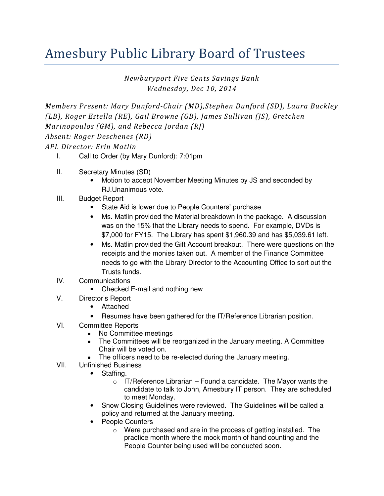## Amesbury Public Library Board of Trustees

Newburyport Five Cents Savings Bank Wednesday, Dec 10, 2014

Members Present: Mary Dunford-Chair (MD),Stephen Dunford (SD), Laura Buckley (LB), Roger Estella (RE), Gail Browne (GB), James Sullivan (JS), Gretchen Marinopoulos (GM), and Rebecca Jordan (RJ) Absent: Roger Deschenes (RD)

APL Director: Erin Matlin

- I. Call to Order (by Mary Dunford): 7:01pm
- II. Secretary Minutes (SD)
	- Motion to accept November Meeting Minutes by JS and seconded by RJ.Unanimous vote.
- III. Budget Report
	- State Aid is lower due to People Counters' purchase
	- Ms. Matlin provided the Material breakdown in the package. A discussion was on the 15% that the Library needs to spend. For example, DVDs is \$7,000 for FY15. The Library has spent \$1,960.39 and has \$5,039.61 left.
	- Ms. Matlin provided the Gift Account breakout. There were questions on the receipts and the monies taken out. A member of the Finance Committee needs to go with the Library Director to the Accounting Office to sort out the Trusts funds.
- IV. Communications
	- Checked E-mail and nothing new
- V. Director's Report
	- Attached
	- Resumes have been gathered for the IT/Reference Librarian position.
- VI. Committee Reports
	- No Committee meetings
	- The Committees will be reorganized in the January meeting. A Committee Chair will be voted on.
	- The officers need to be re-elected during the January meeting.
- VII. Unfinished Business
	- Staffing.
		- $\circ$  IT/Reference Librarian Found a candidate. The Mayor wants the candidate to talk to John, Amesbury IT person. They are scheduled to meet Monday.
	- Snow Closing Guidelines were reviewed. The Guidelines will be called a policy and returned at the January meeting.
	- People Counters
		- o Were purchased and are in the process of getting installed. The practice month where the mock month of hand counting and the People Counter being used will be conducted soon.